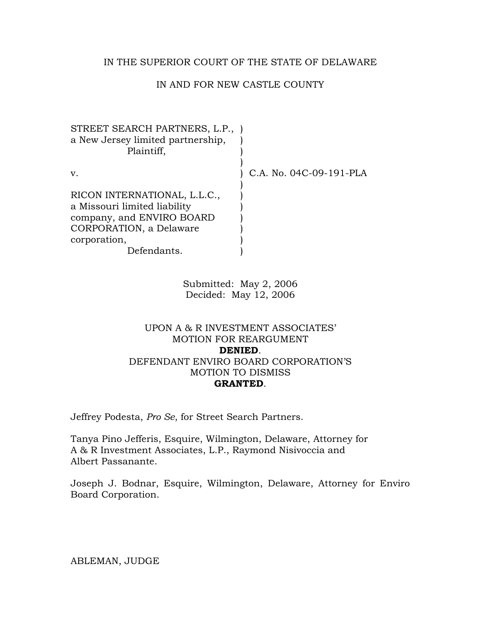## IN THE SUPERIOR COURT OF THE STATE OF DELAWARE

# IN AND FOR NEW CASTLE COUNTY

| v.                                                                                                                                                  | C.A. No. 04C-09-191-PLA |
|-----------------------------------------------------------------------------------------------------------------------------------------------------|-------------------------|
| RICON INTERNATIONAL, L.L.C.,<br>a Missouri limited liability<br>company, and ENVIRO BOARD<br>CORPORATION, a Delaware<br>corporation,<br>Defendants. |                         |

Submitted: May 2, 2006 Decided: May 12, 2006

## UPON A & R INVESTMENT ASSOCIATES' MOTION FOR REARGUMENT **DENIED**. DEFENDANT ENVIRO BOARD CORPORATION'S MOTION TO DISMISS **GRANTED**.

Jeffrey Podesta, *Pro Se*, for Street Search Partners.

Tanya Pino Jefferis, Esquire, Wilmington, Delaware, Attorney for A & R Investment Associates, L.P., Raymond Nisivoccia and Albert Passanante.

Joseph J. Bodnar, Esquire, Wilmington, Delaware, Attorney for Enviro Board Corporation.

ABLEMAN, JUDGE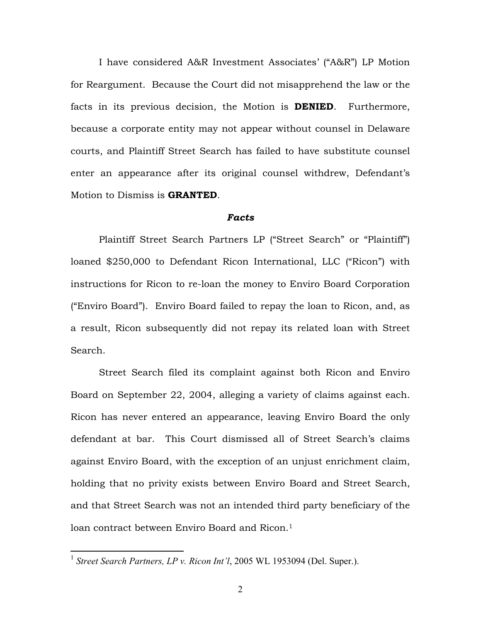I have considered A&R Investment Associates' ("A&R") LP Motion for Reargument. Because the Court did not misapprehend the law or the facts in its previous decision, the Motion is **DENIED**. Furthermore, because a corporate entity may not appear without counsel in Delaware courts, and Plaintiff Street Search has failed to have substitute counsel enter an appearance after its original counsel withdrew, Defendant's Motion to Dismiss is **GRANTED**.

### *Facts*

Plaintiff Street Search Partners LP ("Street Search" or "Plaintiff") loaned \$250,000 to Defendant Ricon International, LLC ("Ricon") with instructions for Ricon to re-loan the money to Enviro Board Corporation ("Enviro Board"). Enviro Board failed to repay the loan to Ricon, and, as a result, Ricon subsequently did not repay its related loan with Street Search.

Street Search filed its complaint against both Ricon and Enviro Board on September 22, 2004, alleging a variety of claims against each. Ricon has never entered an appearance, leaving Enviro Board the only defendant at bar. This Court dismissed all of Street Search's claims against Enviro Board, with the exception of an unjust enrichment claim, holding that no privity exists between Enviro Board and Street Search, and that Street Search was not an intended third party beneficiary of the loan contract between Enviro Board and Ricon.<sup>[1](#page-1-0)</sup>

<span id="page-1-0"></span><sup>&</sup>lt;sup>1</sup> Street Search Partners, LP v. Ricon Int'l, 2005 WL 1953094 (Del. Super.).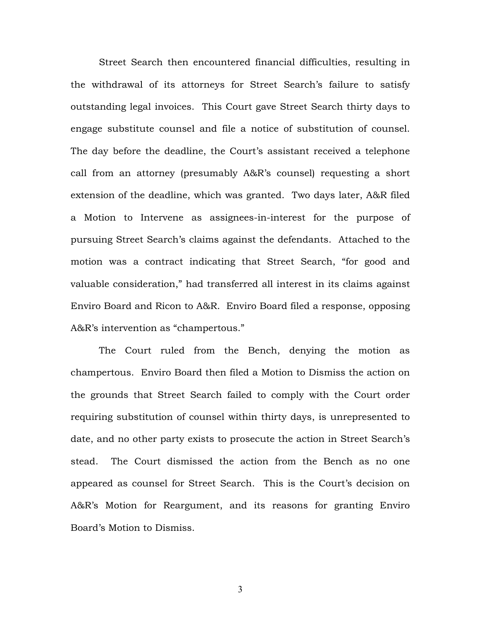Street Search then encountered financial difficulties, resulting in the withdrawal of its attorneys for Street Search's failure to satisfy outstanding legal invoices. This Court gave Street Search thirty days to engage substitute counsel and file a notice of substitution of counsel. The day before the deadline, the Court's assistant received a telephone call from an attorney (presumably A&R's counsel) requesting a short extension of the deadline, which was granted. Two days later, A&R filed a Motion to Intervene as assignees-in-interest for the purpose of pursuing Street Search's claims against the defendants. Attached to the motion was a contract indicating that Street Search, "for good and valuable consideration," had transferred all interest in its claims against Enviro Board and Ricon to A&R. Enviro Board filed a response, opposing A&R's intervention as "champertous."

The Court ruled from the Bench, denying the motion as champertous. Enviro Board then filed a Motion to Dismiss the action on the grounds that Street Search failed to comply with the Court order requiring substitution of counsel within thirty days, is unrepresented to date, and no other party exists to prosecute the action in Street Search's stead. The Court dismissed the action from the Bench as no one appeared as counsel for Street Search. This is the Court's decision on A&R's Motion for Reargument, and its reasons for granting Enviro Board's Motion to Dismiss.

3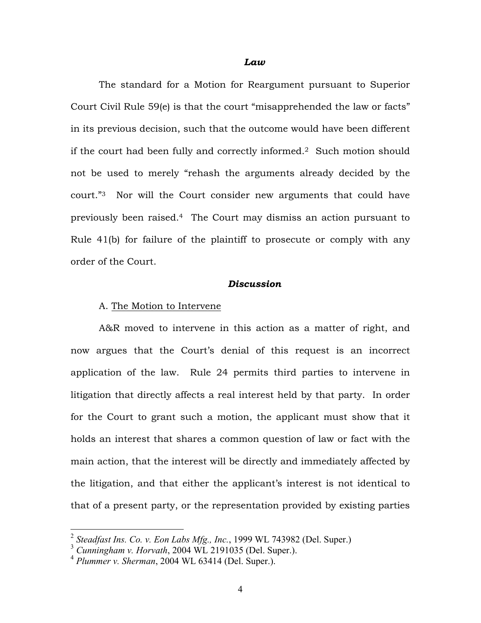#### *Law*

The standard for a Motion for Reargument pursuant to Superior Court Civil Rule 59(e) is that the court "misapprehended the law or facts" in its previous decision, such that the outcome would have been different if the court had been fully and correctly informed[.2](#page-3-0) Such motion should not be used to merely "rehash the arguments already decided by the court."[3](#page-3-1) Nor will the Court consider new arguments that could have previously been raised[.4](#page-3-2) The Court may dismiss an action pursuant to Rule 41(b) for failure of the plaintiff to prosecute or comply with any order of the Court.

## *Discussion*

#### A. The Motion to Intervene

A&R moved to intervene in this action as a matter of right, and now argues that the Court's denial of this request is an incorrect application of the law. Rule 24 permits third parties to intervene in litigation that directly affects a real interest held by that party. In order for the Court to grant such a motion, the applicant must show that it holds an interest that shares a common question of law or fact with the main action, that the interest will be directly and immediately affected by the litigation, and that either the applicant's interest is not identical to that of a present party, or the representation provided by existing parties

<span id="page-3-0"></span> <sup>2</sup> *Steadfast Ins. Co. v. Eon Labs Mfg., Inc.*, 1999 WL 743982 (Del. Super.)

<span id="page-3-1"></span><sup>3</sup> *Cunningham v. Horvath*, 2004 WL 2191035 (Del. Super.).

<span id="page-3-2"></span><sup>4</sup> *Plummer v. Sherman*, 2004 WL 63414 (Del. Super.).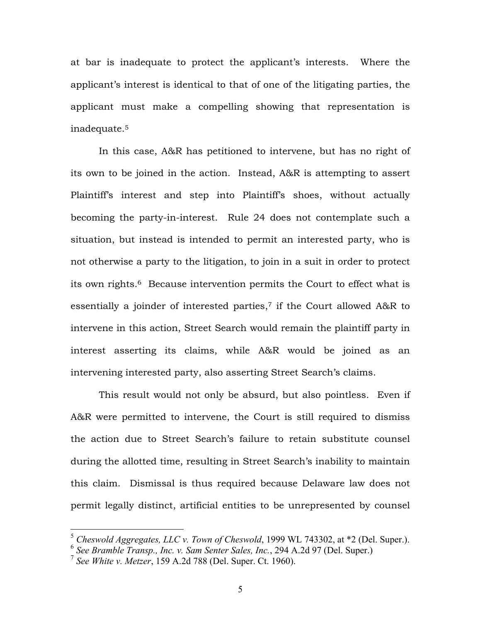at bar is inadequate to protect the applicant's interests. Where the applicant's interest is identical to that of one of the litigating parties, the applicant must make a compelling showing that representation is inadequate.[5](#page-4-0)

In this case, A&R has petitioned to intervene, but has no right of its own to be joined in the action. Instead, A&R is attempting to assert Plaintiff's interest and step into Plaintiff's shoes, without actually becoming the party-in-interest. Rule 24 does not contemplate such a situation, but instead is intended to permit an interested party, who is not otherwise a party to the litigation, to join in a suit in order to protect its own rights.[6](#page-4-1) Because intervention permits the Court to effect what is essentially a joinder of interested parties,<sup>7</sup> if the Court allowed A&R to intervene in this action, Street Search would remain the plaintiff party in interest asserting its claims, while A&R would be joined as an intervening interested party, also asserting Street Search's claims.

This result would not only be absurd, but also pointless. Even if A&R were permitted to intervene, the Court is still required to dismiss the action due to Street Search's failure to retain substitute counsel during the allotted time, resulting in Street Search's inability to maintain this claim. Dismissal is thus required because Delaware law does not permit legally distinct, artificial entities to be unrepresented by counsel

<span id="page-4-0"></span> <sup>5</sup> *Cheswold Aggregates, LLC v. Town of Cheswold*, 1999 WL 743302, at \*2 (Del. Super.).

<span id="page-4-1"></span><sup>6</sup> *See Bramble Transp., Inc. v. Sam Senter Sales, Inc.*, 294 A.2d 97 (Del. Super.)

<span id="page-4-2"></span><sup>7</sup> *See White v. Metzer*, 159 A.2d 788 (Del. Super. Ct. 1960).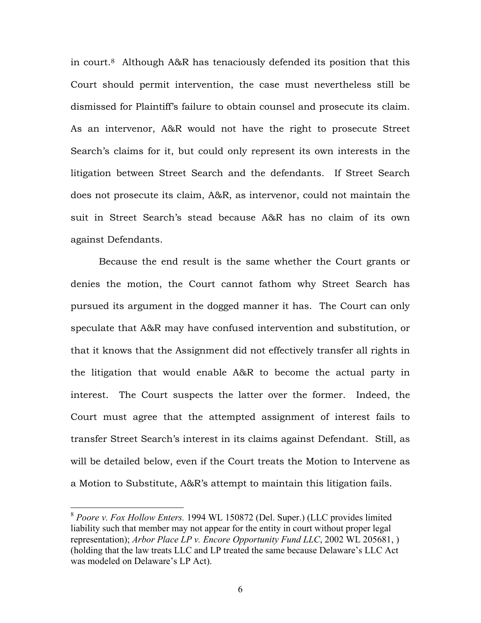in court[.8](#page-5-0) Although A&R has tenaciously defended its position that this Court should permit intervention, the case must nevertheless still be dismissed for Plaintiff's failure to obtain counsel and prosecute its claim. As an intervenor, A&R would not have the right to prosecute Street Search's claims for it, but could only represent its own interests in the litigation between Street Search and the defendants. If Street Search does not prosecute its claim, A&R, as intervenor, could not maintain the suit in Street Search's stead because A&R has no claim of its own against Defendants.

Because the end result is the same whether the Court grants or denies the motion, the Court cannot fathom why Street Search has pursued its argument in the dogged manner it has. The Court can only speculate that A&R may have confused intervention and substitution, or that it knows that the Assignment did not effectively transfer all rights in the litigation that would enable A&R to become the actual party in interest. The Court suspects the latter over the former. Indeed, the Court must agree that the attempted assignment of interest fails to transfer Street Search's interest in its claims against Defendant. Still, as will be detailed below, even if the Court treats the Motion to Intervene as a Motion to Substitute, A&R's attempt to maintain this litigation fails.

<span id="page-5-0"></span> <sup>8</sup> *Poore v. Fox Hollow Enters.* 1994 WL 150872 (Del. Super.) (LLC provides limited liability such that member may not appear for the entity in court without proper legal representation); *Arbor Place LP v. Encore Opportunity Fund LLC*, 2002 WL 205681, ) (holding that the law treats LLC and LP treated the same because Delaware's LLC Act was modeled on Delaware's LP Act).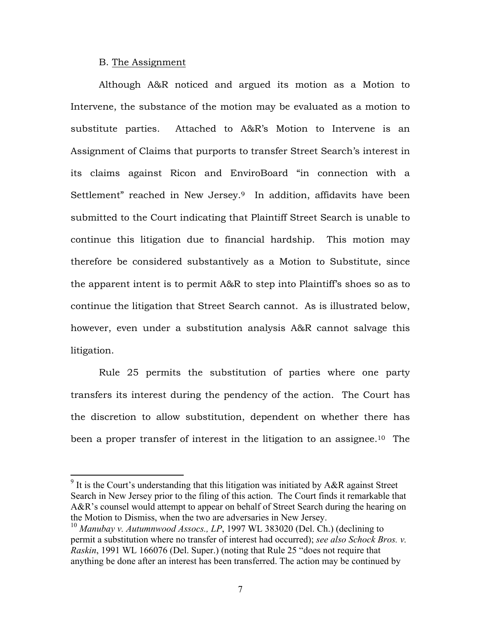### B. The Assignment

<span id="page-6-1"></span>Although A&R noticed and argued its motion as a Motion to Intervene, the substance of the motion may be evaluated as a motion to substitute parties. Attached to A&R's Motion to Intervene is an Assignment of Claims that purports to transfer Street Search's interest in its claims against Ricon and EnviroBoard "in connection with a Settlement" reached in New Jersey.<sup>9</sup> In addition, affidavits have been submitted to the Court indicating that Plaintiff Street Search is unable to continue this litigation due to financial hardship. This motion may therefore be considered substantively as a Motion to Substitute, since the apparent intent is to permit A&R to step into Plaintiff's shoes so as to continue the litigation that Street Search cannot. As is illustrated below, however, even under a substitution analysis A&R cannot salvage this litigation.

Rule 25 permits the substitution of parties where one party transfers its interest during the pendency of the action. The Court has the discretion to allow substitution, dependent on whether there has been a proper transfer of interest in the litigation to an assignee.<sup>10</sup> The

<span id="page-6-0"></span><sup>&</sup>lt;sup>9</sup> It is the Court's understanding that this litigation was initiated by A&R against Street Search in New Jersey prior to the filing of this action. The Court finds it remarkable that A&R's counsel would attempt to appear on behalf of Street Search during the hearing on the Motion to Dismiss, when the two are adversaries in New Jersey.

<sup>&</sup>lt;sup>10</sup> Manubay v. Autumnwood Assocs., LP, 1997 WL 383020 (Del. Ch.) (declining to permit a substitution where no transfer of interest had occurred); *see also Schock Bros. v. Raskin*, 1991 WL 166076 (Del. Super.) (noting that Rule 25 "does not require that anything be done after an interest has been transferred. The action may be continued by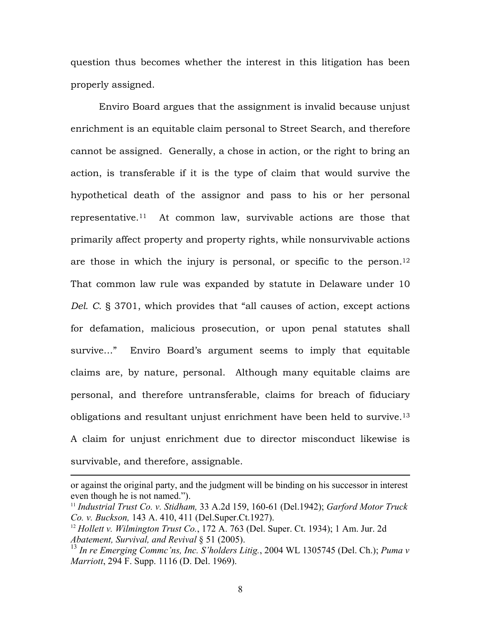question thus becomes whether the interest in this litigation has been properly assigned.

Enviro Board argues that the assignment is invalid because unjust enrichment is an equitable claim personal to Street Search, and therefore cannot be assigned. Generally, a chose in action, or the right to bring an action, is transferable if it is the type of claim that would survive the hypothetical death of the assignor and pass to his or her personal representative.[11](#page-7-0) At common law, survivable actions are those that primarily affect property and property rights, while nonsurvivable actions are those in which the injury is personal, or specific to the person.<sup>12</sup> That common law rule was expanded by statute in Delaware under 10 *Del. C.* § 3701, which provides that "all causes of action, except actions for defamation, malicious prosecution, or upon penal statutes shall survive…" Enviro Board's argument seems to imply that equitable claims are, by nature, personal. Although many equitable claims are personal, and therefore untransferable, claims for breach of fiduciary obligations and resultant unjust enrichment have been held to survive[.13](#page-7-2)  A claim for unjust enrichment due to director misconduct likewise is survivable, and therefore, assignable.

1

or against the original party, and the judgment will be binding on his successor in interest even though he is not named.").<br><sup>11</sup> *Industrial Trust Co. v. Stidham,* 33 A.2d 159, 160-61 (Del.1942); *Garford Motor Truck* 

<span id="page-7-0"></span>*Co. v. Buckson,* 143 A. 410, 411 (Del.Super.Ct.1927).

<span id="page-7-1"></span><sup>12</sup> *Hollett v. Wilmington Trust Co.*, 172 A. 763 (Del. Super. Ct. 1934); 1 Am. Jur. 2d *Abatement, Survival, and Revival* § 51 (2005).

<span id="page-7-2"></span><sup>13</sup> *In re Emerging Commc'ns, Inc. S'holders Litig.*, 2004 WL 1305745 (Del. Ch.); *Puma v Marriott*, 294 F. Supp. 1116 (D. Del. 1969).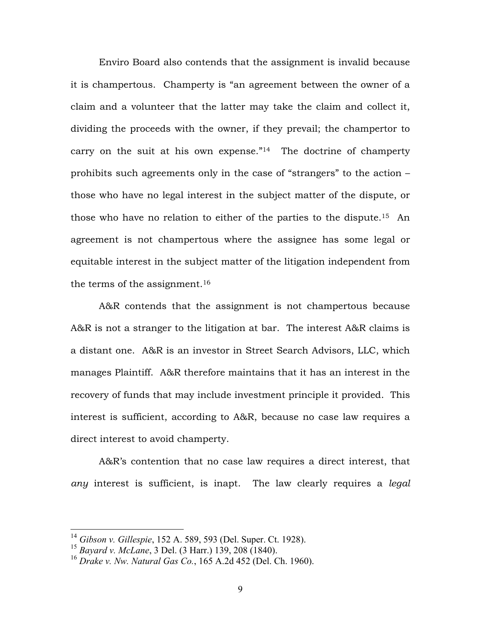Enviro Board also contends that the assignment is invalid because it is champertous. Champerty is "an agreement between the owner of a claim and a volunteer that the latter may take the claim and collect it, dividing the proceeds with the owner, if they prevail; the champertor to carry on the suit at his own expense." $14$  The doctrine of champerty prohibits such agreements only in the case of "strangers" to the action – those who have no legal interest in the subject matter of the dispute, or those who have no relation to either of the parties to the dispute.[15](#page-8-1) An agreement is not champertous where the assignee has some legal or equitable interest in the subject matter of the litigation independent from the terms of the assignment[.16](#page-8-2)

A&R contends that the assignment is not champertous because A&R is not a stranger to the litigation at bar. The interest A&R claims is a distant one. A&R is an investor in Street Search Advisors, LLC, which manages Plaintiff. A&R therefore maintains that it has an interest in the recovery of funds that may include investment principle it provided. This interest is sufficient, according to A&R, because no case law requires a direct interest to avoid champerty.

A&R's contention that no case law requires a direct interest, that *any* interest is sufficient, is inapt. The law clearly requires a *legal*

<span id="page-8-0"></span> <sup>14</sup> *Gibson v. Gillespie*, 152 A. 589, 593 (Del. Super. Ct. 1928).

<span id="page-8-1"></span><sup>15</sup> *Bayard v. McLane*, 3 Del. (3 Harr.) 139, 208 (1840).

<span id="page-8-2"></span><sup>16</sup> *Drake v. Nw. Natural Gas Co.*, 165 A.2d 452 (Del. Ch. 1960).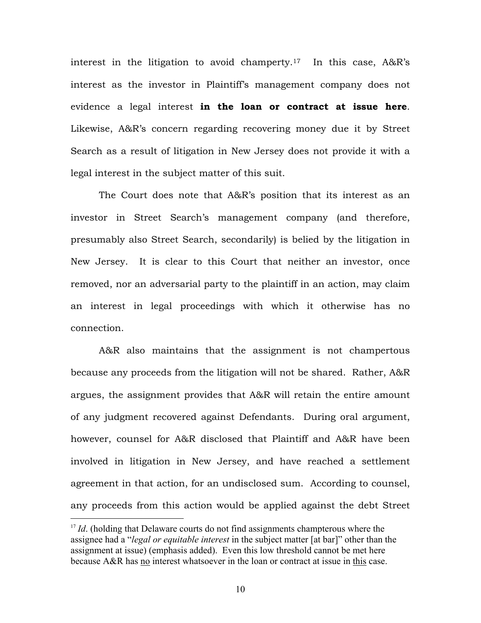interest in the litigation to avoid champerty.<sup>17</sup> In this case,  $A&R's$ interest as the investor in Plaintiff's management company does not evidence a legal interest **in the loan or contract at issue here**. Likewise, A&R's concern regarding recovering money due it by Street Search as a result of litigation in New Jersey does not provide it with a legal interest in the subject matter of this suit.

The Court does note that A&R's position that its interest as an investor in Street Search's management company (and therefore, presumably also Street Search, secondarily) is belied by the litigation in New Jersey. It is clear to this Court that neither an investor, once removed, nor an adversarial party to the plaintiff in an action, may claim an interest in legal proceedings with which it otherwise has no connection.

A&R also maintains that the assignment is not champertous because any proceeds from the litigation will not be shared. Rather, A&R argues, the assignment provides that A&R will retain the entire amount of any judgment recovered against Defendants. During oral argument, however, counsel for A&R disclosed that Plaintiff and A&R have been involved in litigation in New Jersey, and have reached a settlement agreement in that action, for an undisclosed sum. According to counsel, any proceeds from this action would be applied against the debt Street

<span id="page-9-0"></span><sup>&</sup>lt;sup>17</sup> *Id.* (holding that Delaware courts do not find assignments champterous where the assignee had a "*legal or equitable interest* in the subject matter [at bar]" other than the assignment at issue) (emphasis added). Even this low threshold cannot be met here because A&R has no interest whatsoever in the loan or contract at issue in this case.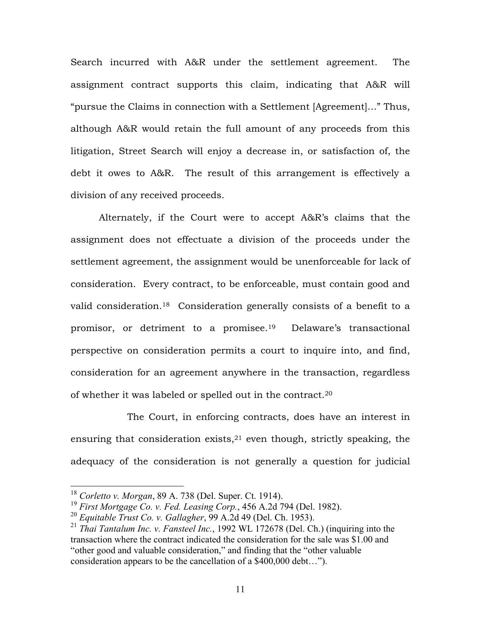Search incurred with A&R under the settlement agreement. The assignment contract supports this claim, indicating that A&R will "pursue the Claims in connection with a Settlement [Agreement]…" Thus, although A&R would retain the full amount of any proceeds from this litigation, Street Search will enjoy a decrease in, or satisfaction of, the debt it owes to A&R. The result of this arrangement is effectively a division of any received proceeds.

Alternately, if the Court were to accept A&R's claims that the assignment does not effectuate a division of the proceeds under the settlement agreement, the assignment would be unenforceable for lack of consideration. Every contract, to be enforceable, must contain good and valid consideration[.18](#page-10-0) Consideration generally consists of a benefit to a promisor, or detriment to a promisee[.19](#page-10-1) Delaware's transactional perspective on consideration permits a court to inquire into, and find, consideration for an agreement anywhere in the transaction, regardless of whether it was labeled or spelled out in the contract.[20](#page-10-2)

The Court, in enforcing contracts, does have an interest in ensuring that consideration exists, $21$  even though, strictly speaking, the adequacy of the consideration is not generally a question for judicial

<span id="page-10-0"></span> <sup>18</sup> *Corletto v. Morgan*, 89 A. 738 (Del. Super. Ct. 1914).

<span id="page-10-1"></span><sup>19</sup> *First Mortgage Co. v. Fed. Leasing Corp.*, 456 A.2d 794 (Del. 1982).

<span id="page-10-2"></span><sup>20</sup> *Equitable Trust Co. v. Gallagher*, 99 A.2d 49 (Del. Ch. 1953).

<span id="page-10-3"></span><sup>21</sup> *Thai Tantalum Inc. v. Fansteel Inc.*, 1992 WL 172678 (Del. Ch.) (inquiring into the transaction where the contract indicated the consideration for the sale was \$1.00 and "other good and valuable consideration," and finding that the "other valuable consideration appears to be the cancellation of a \$400,000 debt…").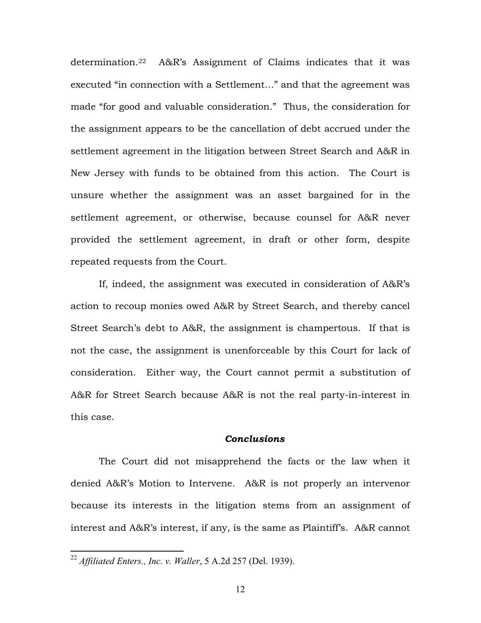determination[.22](#page-11-0) A&R's Assignment of Claims indicates that it was executed "in connection with a Settlement…" and that the agreement was made "for good and valuable consideration." Thus, the consideration for the assignment appears to be the cancellation of debt accrued under the settlement agreement in the litigation between Street Search and A&R in New Jersey with funds to be obtained from this action. The Court is unsure whether the assignment was an asset bargained for in the settlement agreement, or otherwise, because counsel for A&R never provided the settlement agreement, in draft or other form, despite repeated requests from the Court.

If, indeed, the assignment was executed in consideration of A&R's action to recoup monies owed A&R by Street Search, and thereby cancel Street Search's debt to A&R, the assignment is champertous. If that is not the case, the assignment is unenforceable by this Court for lack of consideration. Either way, the Court cannot permit a substitution of A&R for Street Search because A&R is not the real party-in-interest in this case.

## *Conclusions*

The Court did not misapprehend the facts or the law when it denied A&R's Motion to Intervene. A&R is not properly an intervenor because its interests in the litigation stems from an assignment of interest and A&R's interest, if any, is the same as Plaintiff's. A&R cannot

<span id="page-11-0"></span> <sup>22</sup> *Affiliated Enters., Inc. v. Waller*, 5 A.2d 257 (Del. 1939).